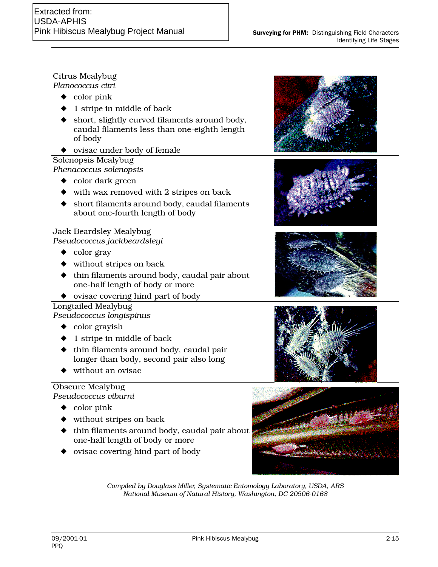## Citrus Mealybug *Planococcus citri*

- ◆ color pink
- ◆ 1 stripe in middle of back
- ◆ short, slightly curved filaments around body, caudal filaments less than one-eighth length of body
- ◆ ovisac under body of female

# Solenopsis Mealybug *Phenacoccus solenopsis*

- ◆ color dark green
- ◆ with wax removed with 2 stripes on back
- ◆ short filaments around body, caudal filaments about one-fourth length of body

## Jack Beardsley Mealybug *Pseudococcus jackbeardsleyi*

- ◆ color gray
- ◆ without stripes on back
- ◆ thin filaments around body, caudal pair about one-half length of body or more
- ◆ ovisac covering hind part of body

Longtailed Mealybug *Pseudococcus longispinus*

- ◆ color grayish
- ◆ 1 stripe in middle of back
- ◆ thin filaments around body, caudal pair longer than body, second pair also long
- ◆ without an ovisac

## Obscure Mealybug *Pseudococcus viburni*

- ◆ color pink
- ◆ without stripes on back
- $\blacklozenge$  thin filaments around body, caudal pair about one-half length of body or more
- ◆ ovisac covering hind part of body











*Compiled by Douglass Miller, Systematic Entomology Laboratory, USDA, ARS National Museum of Natural History, Washington, DC 20506-0168*